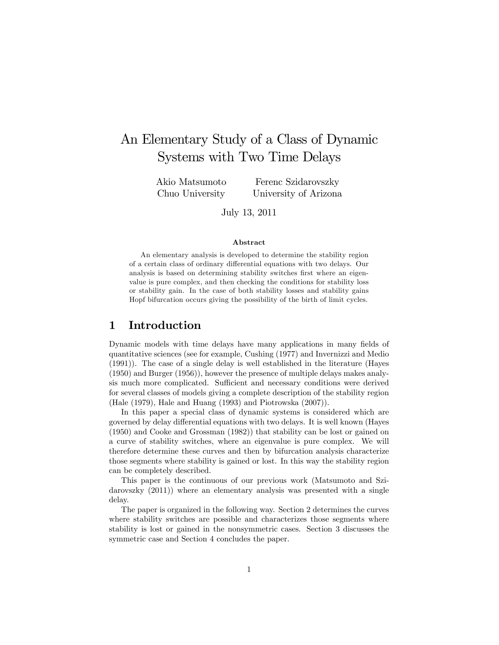# An Elementary Study of a Class of Dynamic Systems with Two Time Delays

Akio Matsumoto Chuo University

Ferenc Szidarovszky University of Arizona

July 13, 2011

#### Abstract

An elementary analysis is developed to determine the stability region of a certain class of ordinary differential equations with two delays. Our analysis is based on determining stability switches first where an eigenvalue is pure complex, and then checking the conditions for stability loss or stability gain. In the case of both stability losses and stability gains Hopf bifurcation occurs giving the possibility of the birth of limit cycles.

#### 1 Introduction

Dynamic models with time delays have many applications in many fields of quantitative sciences (see for example, Cushing (1977) and Invernizzi and Medio (1991)). The case of a single delay is well established in the literature (Hayes (1950) and Burger (1956)), however the presence of multiple delays makes analysis much more complicated. Sufficient and necessary conditions were derived for several classes of models giving a complete description of the stability region (Hale (1979), Hale and Huang (1993) and Piotrowska (2007)).

In this paper a special class of dynamic systems is considered which are governed by delay differential equations with two delays. It is well known (Hayes (1950) and Cooke and Grossman (1982)) that stability can be lost or gained on a curve of stability switches, where an eigenvalue is pure complex. We will therefore determine these curves and then by bifurcation analysis characterize those segments where stability is gained or lost. In this way the stability region can be completely described.

This paper is the continuous of our previous work (Matsumoto and Szidarovszky (2011)) where an elementary analysis was presented with a single delay.

The paper is organized in the following way. Section 2 determines the curves where stability switches are possible and characterizes those segments where stability is lost or gained in the nonsymmetric cases. Section 3 discusses the symmetric case and Section 4 concludes the paper.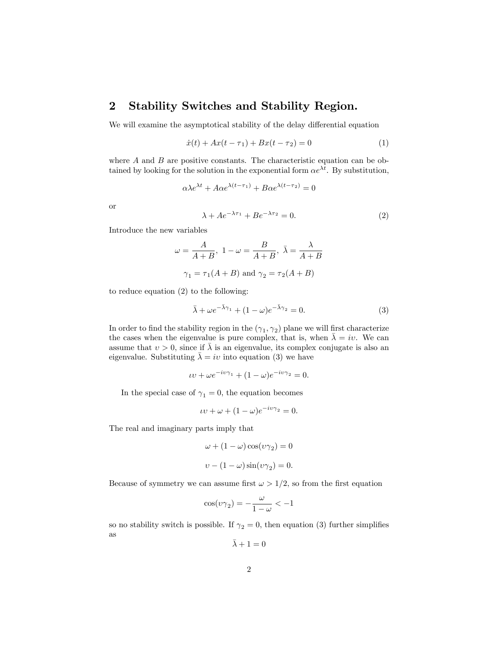### 2 Stability Switches and Stability Region.

We will examine the asymptotical stability of the delay differential equation

$$
\dot{x}(t) + Ax(t - \tau_1) + Bx(t - \tau_2) = 0 \tag{1}
$$

where  $A$  and  $B$  are positive constants. The characteristic equation can be obtained by looking for the solution in the exponential form  $\alpha e^{\lambda t}$ . By substitution,

$$
\alpha \lambda e^{\lambda t} + A\alpha e^{\lambda(t-\tau_1)} + B\alpha e^{\lambda(t-\tau_2)} = 0
$$

or

$$
\lambda + Ae^{-\lambda \tau_1} + Be^{-\lambda \tau_2} = 0. \tag{2}
$$

Introduce the new variables

$$
\omega = \frac{A}{A+B}, \ 1 - \omega = \frac{B}{A+B}, \ \bar{\lambda} = \frac{\lambda}{A+B}
$$

$$
\gamma_1 = \tau_1(A+B) \text{ and } \gamma_2 = \tau_2(A+B)
$$

to reduce equation (2) to the following:

$$
\bar{\lambda} + \omega e^{-\bar{\lambda}\gamma_1} + (1 - \omega)e^{-\bar{\lambda}\gamma_2} = 0.
$$
 (3)

In order to find the stability region in the  $(\gamma_1, \gamma_2)$  plane we will first characterize the cases when the eigenvalue is pure complex, that is, when  $\bar{\lambda} = iv$ . We can assume that  $v > 0$ , since if  $\overline{\lambda}$  is an eigenvalue, its complex conjugate is also an eigenvalue. Substituting  $\lambda = iv$  into equation (3) we have

$$
\iota v + \omega e^{-i v \gamma_1} + (1 - \omega) e^{-i v \gamma_2} = 0.
$$

In the special case of  $\gamma_1 = 0$ , the equation becomes

$$
\iota \nu + \omega + (1 - \omega)e^{-i\nu \gamma_2} = 0.
$$

The real and imaginary parts imply that

$$
\omega + (1 - \omega)\cos(\upsilon\gamma_2) = 0
$$

$$
\upsilon - (1 - \omega)\sin(\upsilon\gamma_2) = 0.
$$

Because of symmetry we can assume first  $\omega > 1/2$ , so from the first equation

$$
\cos(\upsilon\gamma_2)=-\frac{\omega}{1-\omega}<-1
$$

so no stability switch is possible. If  $\gamma_2 = 0$ , then equation (3) further simplifies as

$$
\bar{\lambda}+1=0
$$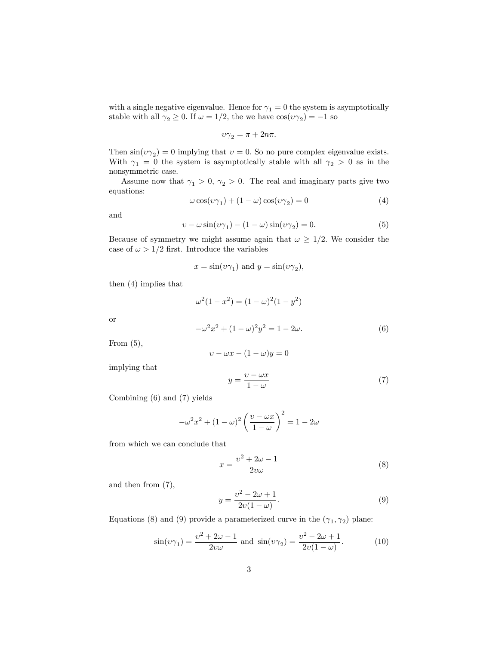with a single negative eigenvalue. Hence for  $\gamma_1 = 0$  the system is asymptotically stable with all  $\gamma_2 \ge 0$ . If  $\omega = 1/2$ , the we have  $\cos(\nu \gamma_2) = -1$  so

$$
v\gamma_2 = \pi + 2n\pi.
$$

Then  $\sin(v\gamma_2) = 0$  implying that  $v = 0$ . So no pure complex eigenvalue exists. With  $\gamma_1 = 0$  the system is asymptotically stable with all  $\gamma_2 > 0$  as in the nonsymmetric case.

Assume now that  $\gamma_1 > 0$ ,  $\gamma_2 > 0$ . The real and imaginary parts give two equations:

$$
\omega \cos(\upsilon \gamma_1) + (1 - \omega)\cos(\upsilon \gamma_2) = 0 \tag{4}
$$

and

$$
v - \omega \sin(v\gamma_1) - (1 - \omega)\sin(v\gamma_2) = 0.
$$
 (5)

Because of symmetry we might assume again that  $\omega \geq 1/2$ . We consider the case of  $\omega > 1/2$  first. Introduce the variables

$$
x = \sin(v\gamma_1)
$$
 and  $y = \sin(v\gamma_2)$ ,

then (4) implies that

$$
\omega^{2}(1 - x^{2}) = (1 - \omega)^{2}(1 - y^{2})
$$

$$
-\omega^{2}x^{2} + (1 - \omega)^{2}y^{2} = 1 - 2\omega.
$$
(6)

From  $(5)$ ,

or

$$
v - \omega x - (1 - \omega)y = 0
$$

implying that

$$
y = \frac{v - \omega x}{1 - \omega} \tag{7}
$$

Combining (6) and (7) yields

$$
-\omega^2 x^2 + (1 - \omega)^2 \left(\frac{v - \omega x}{1 - \omega}\right)^2 = 1 - 2\omega
$$

from which we can conclude that

$$
x = \frac{v^2 + 2\omega - 1}{2v\omega} \tag{8}
$$

and then from (7),

$$
y = \frac{v^2 - 2\omega + 1}{2v(1 - \omega)}.\tag{9}
$$

Equations (8) and (9) provide a parameterized curve in the  $(\gamma_1, \gamma_2)$  plane:

$$
\sin(\upsilon \gamma_1) = \frac{\upsilon^2 + 2\omega - 1}{2\upsilon \omega} \text{ and } \sin(\upsilon \gamma_2) = \frac{\upsilon^2 - 2\omega + 1}{2\upsilon(1 - \omega)}.
$$
 (10)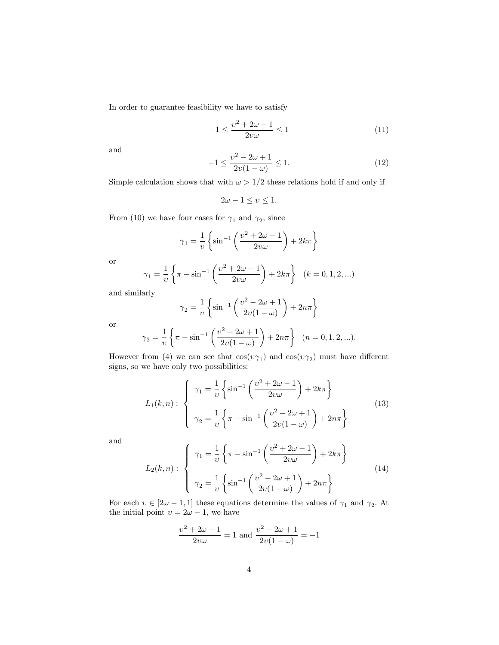In order to guarantee feasibility we have to satisfy

$$
-1 \le \frac{v^2 + 2\omega - 1}{2v\omega} \le 1
$$
\n(11)

and

$$
-1 \le \frac{v^2 - 2\omega + 1}{2v(1 - \omega)} \le 1.
$$
 (12)

Simple calculation shows that with  $\omega > 1/2$  these relations hold if and only if

$$
2\omega - 1 \le \upsilon \le 1.
$$

From (10) we have four cases for  $\gamma_1$  and  $\gamma_2$ , since

$$
\gamma_1 = \frac{1}{\upsilon} \left\{ \sin^{-1} \left( \frac{\upsilon^2 + 2\omega - 1}{2\upsilon \omega} \right) + 2k\pi \right\}
$$

or

$$
\gamma_1 = \frac{1}{v} \left\{ \pi - \sin^{-1} \left( \frac{v^2 + 2\omega - 1}{2v\omega} \right) + 2k\pi \right\} \quad (k = 0, 1, 2, \ldots)
$$

and similarly

$$
\gamma_2 = \frac{1}{\upsilon} \left\{ \sin^{-1} \left( \frac{\upsilon^2 - 2\omega + 1}{2\upsilon(1 - \omega)} \right) + 2n\pi \right\}
$$

or

$$
\gamma_2 = \frac{1}{v} \left\{ \pi - \sin^{-1} \left( \frac{v^2 - 2\omega + 1}{2v(1 - \omega)} \right) + 2n\pi \right\} \quad (n = 0, 1, 2, \ldots).
$$

However from (4) we can see that  $cos(v\gamma_1)$  and  $cos(v\gamma_2)$  must have different signs, so we have only two possibilities:

$$
L_1(k,n): \begin{cases} \gamma_1 = \frac{1}{\upsilon} \left\{ \sin^{-1} \left( \frac{\upsilon^2 + 2\omega - 1}{2\upsilon \omega} \right) + 2k\pi \right\} \\ \gamma_2 = \frac{1}{\upsilon} \left\{ \pi - \sin^{-1} \left( \frac{\upsilon^2 - 2\omega + 1}{2\upsilon(1 - \omega)} \right) + 2n\pi \right\} \end{cases}
$$
(13)

and

$$
L_2(k,n): \begin{cases} \gamma_1 = \frac{1}{\upsilon} \left\{ \pi - \sin^{-1} \left( \frac{\upsilon^2 + 2\omega - 1}{2\upsilon \omega} \right) + 2k\pi \right\} \\ \gamma_2 = \frac{1}{\upsilon} \left\{ \sin^{-1} \left( \frac{\upsilon^2 - 2\omega + 1}{2\upsilon(1 - \omega)} \right) + 2n\pi \right\} \end{cases} (14)
$$

For each  $v \in [2\omega - 1, 1]$  these equations determine the values of  $\gamma_1$  and  $\gamma_2$ . At the initial point  $v = 2\omega - 1$ , we have

$$
\frac{v^2 + 2\omega - 1}{2v\omega} = 1
$$
 and 
$$
\frac{v^2 - 2\omega + 1}{2v(1 - \omega)} = -1
$$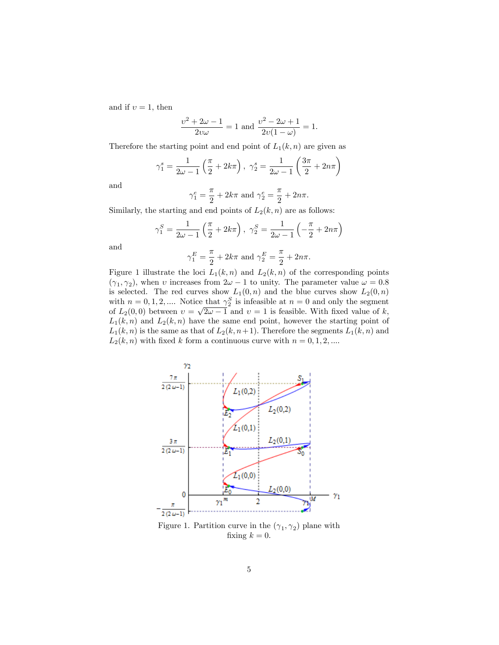and if  $v = 1$ , then

$$
\frac{v^2 + 2\omega - 1}{2v\omega} = 1 \text{ and } \frac{v^2 - 2\omega + 1}{2v(1 - \omega)} = 1.
$$

Therefore the starting point and end point of  $L_1(k, n)$  are given as

$$
\gamma_1^s = \frac{1}{2\omega - 1} \left( \frac{\pi}{2} + 2k\pi \right), \ \gamma_2^s = \frac{1}{2\omega - 1} \left( \frac{3\pi}{2} + 2n\pi \right)
$$

and

$$
\gamma_1^e = \frac{\pi}{2} + 2k\pi
$$
 and  $\gamma_2^e = \frac{\pi}{2} + 2n\pi$ .

Similarly, the starting and end points of  $L_2(k, n)$  are as follows:

$$
\gamma_1^S = \frac{1}{2\omega - 1} \left( \frac{\pi}{2} + 2k\pi \right), \ \gamma_2^S = \frac{1}{2\omega - 1} \left( -\frac{\pi}{2} + 2n\pi \right)
$$

and

$$
\gamma_1^E = \frac{\pi}{2} + 2k\pi
$$
 and  $\gamma_2^E = \frac{\pi}{2} + 2n\pi$ .

Figure 1 illustrate the loci  $L_1(k,n)$  and  $L_2(k,n)$  of the corresponding points  $(\gamma_1, \gamma_2)$ , when v increases from  $2\omega - 1$  to unity. The parameter value  $\omega = 0.8$ is selected. The red curves show  $L_1(0, n)$  and the blue curves show  $L_2(0, n)$ with  $n = 0, 1, 2, \dots$  Notice that  $\gamma_2^S$  is infeasible at  $n = 0$  and only the segment of  $L_2(0,0)$  between  $v = \sqrt{2\omega - 1}^2$  and  $v = 1$  is feasible. With fixed value of k,  $L_1(k, n)$  and  $L_2(k, n)$  have the same end point, however the starting point of  $L_1(k, n)$  is the same as that of  $L_2(k, n+1)$ . Therefore the segments  $L_1(k, n)$  and  $L_2(k, n)$  with fixed k form a continuous curve with  $n = 0, 1, 2, ...$ 



Figure 1. Partition curve in the  $(\gamma_1, \gamma_2)$  plane with fixing  $k = 0$ .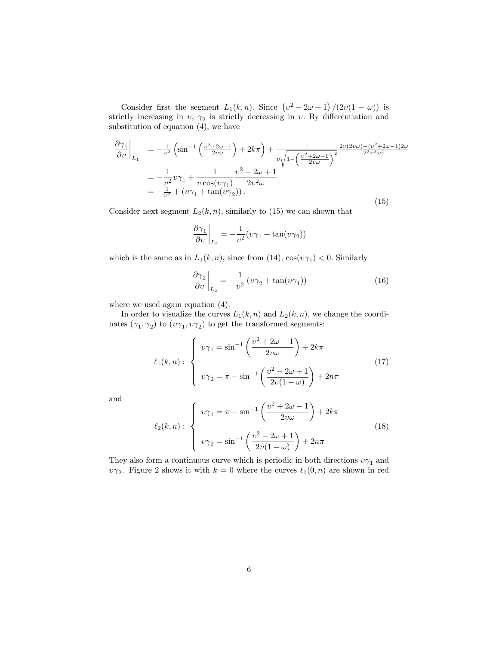Consider first the segment  $L_1(k,n)$ . Since  $(v^2 - 2\omega + 1)/(2v(1 - \omega))$  is strictly increasing in  $v, \gamma_2$  is strictly decreasing in  $v$ . By differentiation and substitution of equation (4), we have

$$
\frac{\partial \gamma_1}{\partial v}\Big|_{L_1} = -\frac{1}{v^2} \left( \sin^{-1} \left( \frac{v^2 + 2\omega - 1}{2v\omega} \right) + 2k\pi \right) + \frac{1}{v \sqrt{1 - \left( \frac{v^2 + 2\omega - 1}{2v\omega} \right)^2}} \frac{2v(2v\omega) - (v^2 + 2\omega - 1)2\omega}{2^2 v^2 \omega^2}
$$

$$
= -\frac{1}{v^2} v \gamma_1 + \frac{1}{v \cos(v\gamma_1)} \frac{v^2 - 2\omega + 1}{2v^2 \omega}
$$

$$
= -\frac{1}{v^2} + (v\gamma_1 + \tan(v\gamma_2)). \tag{15}
$$

Consider next segment  $L_2(k, n)$ , similarly to (15) we can shown that

$$
\left.\frac{\partial \gamma_1}{\partial v}\right|_{L_2}=-\frac{1}{v^2}(v\gamma_1+\tan(v\gamma_2))
$$

which is the same as in  $L_1(k, n)$ , since from (14),  $\cos(v\gamma_1) < 0$ . Similarly

$$
\left. \frac{\partial \gamma_2}{\partial v} \right|_{L_2} = -\frac{1}{v^2} \left( v \gamma_2 + \tan(v \gamma_1) \right) \tag{16}
$$

where we used again equation  $(4)$ .

In order to visualize the curves  $L_1(k, n)$  and  $L_2(k, n)$ , we change the coordinates  $(\gamma_1, \gamma_2)$  to  $(v\gamma_1, v\gamma_2)$  to get the transformed segments:

$$
\ell_1(k,n): \begin{cases} \upsilon \gamma_1 = \sin^{-1}\left(\frac{\upsilon^2 + 2\omega - 1}{2\upsilon \omega}\right) + 2k\pi \\ \upsilon \gamma_2 = \pi - \sin^{-1}\left(\frac{\upsilon^2 - 2\omega + 1}{2\upsilon(1 - \omega)}\right) + 2n\pi \end{cases}
$$
(17)

and

$$
\ell_2(k,n): \begin{cases} \nu\gamma_1 = \pi - \sin^{-1}\left(\frac{\nu^2 + 2\omega - 1}{2\nu\omega}\right) + 2k\pi \\ \nu\gamma_2 = \sin^{-1}\left(\frac{\nu^2 - 2\omega + 1}{2\nu(1 - \omega)}\right) + 2n\pi \end{cases}
$$
(18)

They also form a continuous curve which is periodic in both directions  $v\gamma_1$  and  $\nu\gamma_2$ . Figure 2 shows it with  $k = 0$  where the curves  $\ell_1(0, n)$  are shown in red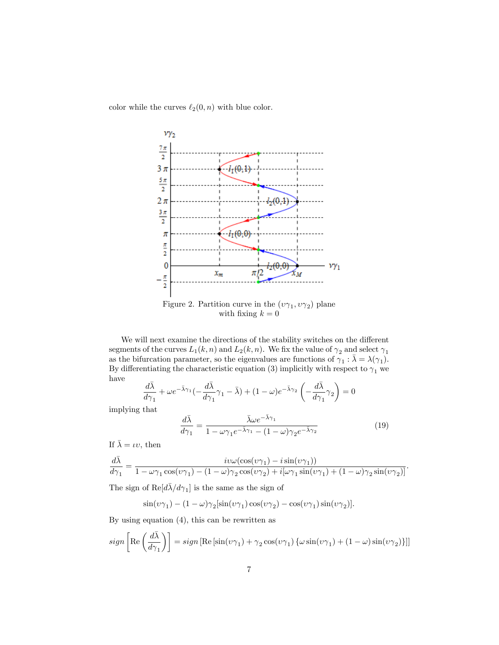color while the curves  $\ell_2(0, n)$  with blue color.



with fixing  $k = 0$ 

We will next examine the directions of the stability switches on the different segments of the curves  $L_1(k, n)$  and  $L_2(k, n)$ . We fix the value of  $\gamma_2$  and select  $\gamma_1$ as the bifurcation parameter, so the eigenvalues are functions of  $\gamma_1 : \bar{\lambda} = \lambda(\gamma_1)$ . By differentiating the characteristic equation (3) implicitly with respect to  $\gamma_1$  we have

$$
\frac{d\bar{\lambda}}{d\gamma_1} + \omega e^{-\bar{\lambda}\gamma_1} \left(-\frac{d\bar{\lambda}}{d\gamma_1}\gamma_1 - \bar{\lambda}\right) + (1 - \omega)e^{-\bar{\lambda}\gamma_2} \left(-\frac{d\bar{\lambda}}{d\gamma_1}\gamma_2\right) = 0
$$

implying that

$$
\frac{d\bar{\lambda}}{d\gamma_1} = \frac{\bar{\lambda}\omega e^{-\bar{\lambda}\gamma_1}}{1 - \omega\gamma_1 e^{-\bar{\lambda}\gamma_1} - (1 - \omega)\gamma_2 e^{-\bar{\lambda}\gamma_2}}
$$
(19)

If  $\bar{\lambda} = \iota v$ , then

$$
\frac{d\bar{\lambda}}{d\gamma_1} = \frac{i v \omega (\cos(v\gamma_1) - i \sin(v\gamma_1))}{1 - \omega \gamma_1 \cos(v\gamma_1) - (1 - \omega)\gamma_2 \cos(v\gamma_2) + i[\omega \gamma_1 \sin(v\gamma_1) + (1 - \omega)\gamma_2 \sin(v\gamma_2)]}.
$$

The sign of  $\text{Re}[d\bar{\lambda}/d\gamma_1]$  is the same as the sign of

$$
\sin(\upsilon\gamma_1) - (1 - \omega)\gamma_2[\sin(\upsilon\gamma_1)\cos(\upsilon\gamma_2) - \cos(\upsilon\gamma_1)\sin(\upsilon\gamma_2)].
$$

By using equation (4), this can be rewritten as

$$
sign\left[\mathrm{Re}\left(\frac{d\bar{\lambda}}{d\gamma_1}\right)\right] = sign\left[\mathrm{Re}\left[\sin(\upsilon\gamma_1) + \gamma_2\cos(\upsilon\gamma_1)\left\{\omega\sin(\upsilon\gamma_1) + (1-\omega)\sin(\upsilon\gamma_2)\right\}\right]\right]
$$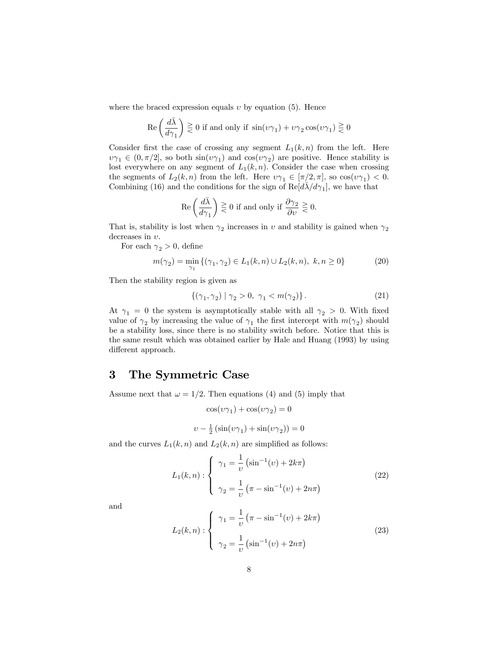where the braced expression equals  $v$  by equation (5). Hence

$$
\operatorname{Re}\left(\frac{d\bar{\lambda}}{d\gamma_1}\right) \gtreqless 0 \text{ if and only if } \sin(\upsilon\gamma_1) + \upsilon\gamma_2\cos(\upsilon\gamma_1) \gtreqless 0
$$

Consider first the case of crossing any segment  $L_1(k, n)$  from the left. Here  $v\gamma_1 \in (0, \pi/2]$ , so both  $\sin(v\gamma_1)$  and  $\cos(v\gamma_2)$  are positive. Hence stability is lost everywhere on any segment of  $L_1(k, n)$ . Consider the case when crossing the segments of  $L_2(k,n)$  from the left. Here  $v\gamma_1 \in [\pi/2, \pi]$ , so  $\cos(v\gamma_1) < 0$ . Combining (16) and the conditions for the sign of  $\text{Re}[d\bar{\lambda}/d\gamma_1]$ , we have that

$$
\operatorname{Re}\left(\frac{d\bar{\lambda}}{d\gamma_1}\right) \gtreqless 0 \text{ if and only if } \frac{\partial \gamma_2}{\partial v} \gtreqless 0.
$$

That is, stability is lost when  $\gamma_2$  increases in v and stability is gained when  $\gamma_2$ decreases in  $v$ .

For each  $\gamma_2 > 0$ , define

$$
m(\gamma_2) = \min_{\gamma_1} \{ (\gamma_1, \gamma_2) \in L_1(k, n) \cup L_2(k, n), \ k, n \ge 0 \}
$$
 (20)

Then the stability region is given as

$$
\{(\gamma_1, \gamma_2) \mid \gamma_2 > 0, \ \gamma_1 < m(\gamma_2)\} \,. \tag{21}
$$

At  $\gamma_1 = 0$  the system is asymptotically stable with all  $\gamma_2 > 0$ . With fixed value of  $\gamma_2$  by increasing the value of  $\gamma_1$  the first intercept with  $m(\gamma_2)$  should be a stability loss, since there is no stability switch before. Notice that this is the same result which was obtained earlier by Hale and Huang (1993) by using different approach.

## 3 The Symmetric Case

Assume next that  $\omega = 1/2$ . Then equations (4) and (5) imply that

$$
\cos(\upsilon\gamma_1)+\cos(\upsilon\gamma_2)=0
$$

$$
\upsilon - \frac{1}{2} \left( \sin(\upsilon \gamma_1) + \sin(\upsilon \gamma_2) \right) = 0
$$

and the curves  $L_1(k, n)$  and  $L_2(k, n)$  are simplified as follows:

$$
L_1(k,n): \begin{cases} \gamma_1 = \frac{1}{\upsilon} \left( \sin^{-1}(\upsilon) + 2k\pi \right) \\ \gamma_2 = \frac{1}{\upsilon} \left( \pi - \sin^{-1}(\upsilon) + 2n\pi \right) \end{cases} \tag{22}
$$

and

$$
L_2(k,n): \begin{cases} \gamma_1 = \frac{1}{\upsilon} \left( \pi - \sin^{-1}(\upsilon) + 2k\pi \right) \\ \gamma_2 = \frac{1}{\upsilon} \left( \sin^{-1}(\upsilon) + 2n\pi \right) \end{cases}
$$
(23)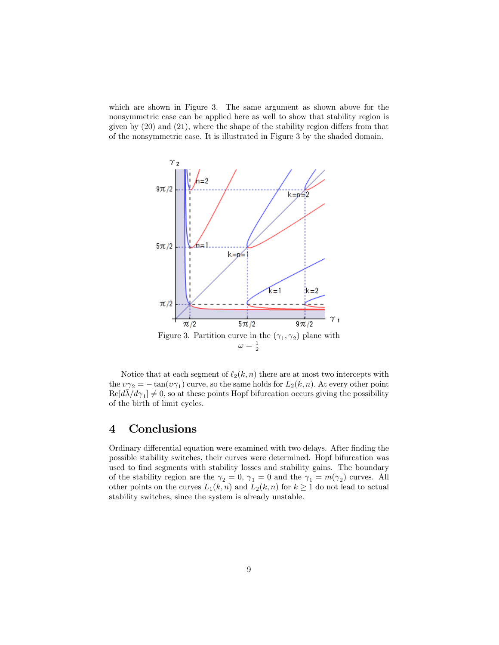which are shown in Figure 3. The same argument as shown above for the nonsymmetric case can be applied here as well to show that stability region is given by  $(20)$  and  $(21)$ , where the shape of the stability region differs from that of the nonsymmetric case. It is illustrated in Figure 3 by the shaded domain.



Notice that at each segment of  $\ell_2(k, n)$  there are at most two intercepts with the  $\nu\gamma_2 = -\tan(\nu\gamma_1)$  curve, so the same holds for  $L_2(k, n)$ . At every other point  $\text{Re}[d\vec{\lambda}/d\gamma_1] \neq 0$ , so at these points Hopf bifurcation occurs giving the possibility of the birth of limit cycles.

# 4 Conclusions

Ordinary differential equation were examined with two delays. After finding the possible stability switches, their curves were determined. Hopf bifurcation was used to find segments with stability losses and stability gains. The boundary of the stability region are the  $\gamma_2 = 0$ ,  $\gamma_1 = 0$  and the  $\gamma_1 = m(\gamma_2)$  curves. All other points on the curves  $L_1(k, n)$  and  $L_2(k, n)$  for  $k \geq 1$  do not lead to actual stability switches, since the system is already unstable.